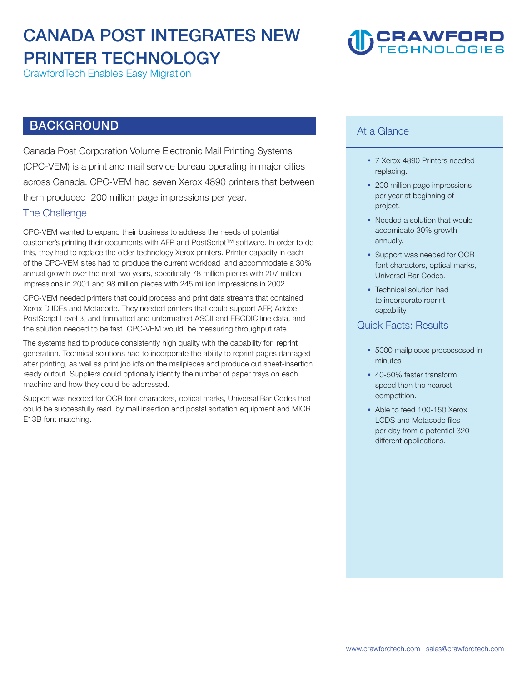### CANADA POST INTEGRATES NEW PRINTER TECHNOLOGY

CrawfordTech Enables Easy Migration

## CRAWFORD<br>TECHNOLOGIES

### BACKGROUND

Canada Post Corporation Volume Electronic Mail Printing Systems (CPC-VEM) is a print and mail service bureau operating in major cities across Canada. CPC-VEM had seven Xerox 4890 printers that between them produced 200 million page impressions per year.

#### The Challenge

CPC-VEM wanted to expand their business to address the needs of potential customer's printing their documents with AFP and PostScript™ software. In order to do this, they had to replace the older technology Xerox printers. Printer capacity in each of the CPC-VEM sites had to produce the current workload and accommodate a 30% annual growth over the next two years, specifcally 78 million pieces with 207 million impressions in 2001 and 98 million pieces with 245 million impressions in 2002.

CPC-VEM needed printers that could process and print data streams that contained Xerox DJDEs and Metacode. They needed printers that could support AFP, Adobe PostScript Level 3, and formatted and unformatted ASCII and EBCDIC line data, and the solution needed to be fast. CPC-VEM would be measuring throughput rate.

The systems had to produce consistently high quality with the capability for reprint generation. Technical solutions had to incorporate the ability to reprint pages damaged after printing, as well as print job id's on the mailpieces and produce cut sheet-insertion ready output. Suppliers could optionally identify the number of paper trays on each machine and how they could be addressed.

Support was needed for OCR font characters, optical marks, Universal Bar Codes that could be successfully read by mail insertion and postal sortation equipment and MICR E13B font matching.

#### At a Glance

- 7 Xerox 4890 Printers needed replacing.
- 200 million page impressions per year at beginning of project.
- Needed a solution that would accomidate 30% growth annually.
- Support was needed for OCR font characters, optical marks, Universal Bar Codes.
- Technical solution had to incorporate reprint capability

#### Quick Facts: Results

- 5000 mailpieces processesed in minutes
- 40-50% faster transform speed than the nearest competition.
- Able to feed 100-150 Xerox LCDS and Metacode fles per day from a potential 320 different applications.